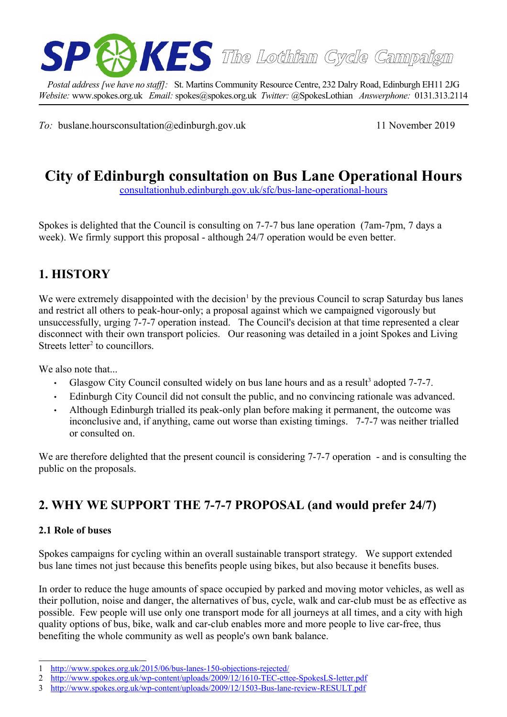

*Postal address [we have no staff]:* St. Martins Community Resource Centre, 232 Dalry Road, Edinburgh EH11 2JG *Website:* www.spokes.org.uk *Email:* spokes@spokes.org.uk *Twitter:* @SpokesLothian *Answerphone:* 0131.313.2114

*To:* buslane.hoursconsultation@edinburgh.gov.uk 11 November 2019

# **City of Edinburgh consultation on Bus Lane Operational Hours**

[consultationhub.edinburgh.gov.uk/sfc/bus-lane-operational-hours](https://consultationhub.edinburgh.gov.uk/sfc/bus-lane-operational-hours/)

Spokes is delighted that the Council is consulting on 7-7-7 bus lane operation (7am-7pm, 7 days a week). We firmly support this proposal - although 24/7 operation would be even better.

# **1. HISTORY**

We were extremely disappointed with the decision<sup>[1](#page-0-0)</sup> by the previous Council to scrap Saturday bus lanes and restrict all others to peak-hour-only; a proposal against which we campaigned vigorously but unsuccessfully, urging 7-7-7 operation instead. The Council's decision at that time represented a clear disconnect with their own transport policies. Our reasoning was detailed in a joint Spokes and Living Streets letter<sup>[2](#page-0-1)</sup> to councillors.

We also note that...

- Glasgow City Council consulted widely on bus lane hours and as a result<sup>[3](#page-0-2)</sup> adopted  $7-7-7$ .
- Edinburgh City Council did not consult the public, and no convincing rationale was advanced.
- Although Edinburgh trialled its peak-only plan before making it permanent, the outcome was inconclusive and, if anything, came out worse than existing timings. 7-7-7 was neither trialled or consulted on.

We are therefore delighted that the present council is considering 7-7-7 operation - and is consulting the public on the proposals.

# **2. WHY WE SUPPORT THE 7-7-7 PROPOSAL (and would prefer 24/7)**

#### **2.1 Role of buses**

Spokes campaigns for cycling within an overall sustainable transport strategy. We support extended bus lane times not just because this benefits people using bikes, but also because it benefits buses.

In order to reduce the huge amounts of space occupied by parked and moving motor vehicles, as well as their pollution, noise and danger, the alternatives of bus, cycle, walk and car-club must be as effective as possible. Few people will use only one transport mode for all journeys at all times, and a city with high quality options of bus, bike, walk and car-club enables more and more people to live car-free, thus benefiting the whole community as well as people's own bank balance.

<span id="page-0-0"></span><sup>1</sup> <http://www.spokes.org.uk/2015/06/bus-lanes-150-objections-rejected/>

<span id="page-0-1"></span><sup>2</sup> <http://www.spokes.org.uk/wp-content/uploads/2009/12/1610-TEC-cttee-SpokesLS-letter.pdf>

<span id="page-0-2"></span><sup>3</sup> <http://www.spokes.org.uk/wp-content/uploads/2009/12/1503-Bus-lane-review-RESULT.pdf>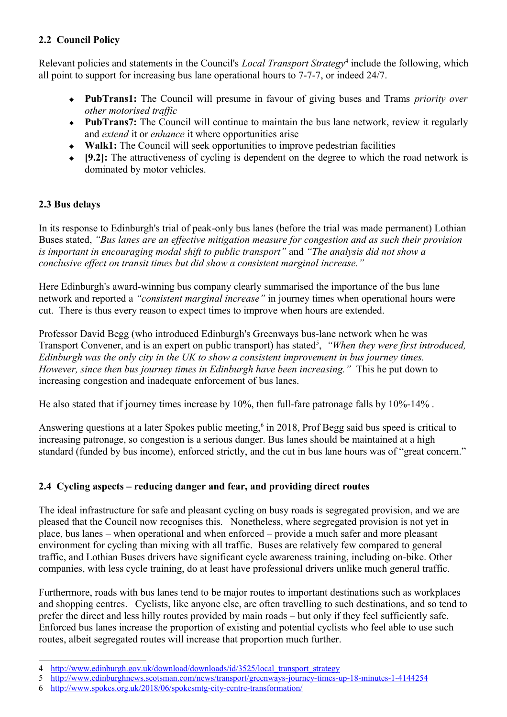### **2.2 Council Policy**

Relevant policies and statements in the Council's *Local Transport Strategy*<sup>[4](#page-1-0)</sup> include the following, which all point to support for increasing bus lane operational hours to 7-7-7, or indeed 24/7.

- **PubTrans1:** The Council will presume in favour of giving buses and Trams *priority over other motorised traffic*
- **PubTrans7:** The Council will continue to maintain the bus lane network, review it regularly and *extend* it or *enhance* it where opportunities arise
- **Walk1:** The Council will seek opportunities to improve pedestrian facilities
- **[9.2]:** The attractiveness of cycling is dependent on the degree to which the road network is dominated by motor vehicles.

## **2.3 Bus delays**

In its response to Edinburgh's trial of peak-only bus lanes (before the trial was made permanent) Lothian Buses stated, *"Bus lanes are an effective mitigation measure for congestion and as such their provision is important in encouraging modal shift to public transport"* and *"The analysis did not show a conclusive effect on transit times but did show a consistent marginal increase."*

Here Edinburgh's award-winning bus company clearly summarised the importance of the bus lane network and reported a *"consistent marginal increase"* in journey times when operational hours were cut. There is thus every reason to expect times to improve when hours are extended.

Professor David Begg (who introduced Edinburgh's Greenways bus-lane network when he was Transport Convener, and is an expert on public transport) has stated<sup>[5](#page-1-1)</sup>, "When they were first introduced, *Edinburgh was the only city in the UK to show a consistent improvement in bus journey times. However, since then bus journey times in Edinburgh have been increasing."* This he put down to increasing congestion and inadequate enforcement of bus lanes.

He also stated that if journey times increase by 10%, then full-fare patronage falls by 10%-14% .

Answering questions at a later Spokes public meeting,<sup>[6](#page-1-2)</sup> in 2018, Prof Begg said bus speed is critical to increasing patronage, so congestion is a serious danger. Bus lanes should be maintained at a high standard (funded by bus income), enforced strictly, and the cut in bus lane hours was of "great concern."

# **2.4 Cycling aspects – reducing danger and fear, and providing direct routes**

The ideal infrastructure for safe and pleasant cycling on busy roads is segregated provision, and we are pleased that the Council now recognises this. Nonetheless, where segregated provision is not yet in place, bus lanes – when operational and when enforced – provide a much safer and more pleasant environment for cycling than mixing with all traffic. Buses are relatively few compared to general traffic, and Lothian Buses drivers have significant cycle awareness training, including on-bike. Other companies, with less cycle training, do at least have professional drivers unlike much general traffic.

Furthermore, roads with bus lanes tend to be major routes to important destinations such as workplaces and shopping centres. Cyclists, like anyone else, are often travelling to such destinations, and so tend to prefer the direct and less hilly routes provided by main roads – but only if they feel sufficiently safe. Enforced bus lanes increase the proportion of existing and potential cyclists who feel able to use such routes, albeit segregated routes will increase that proportion much further.

<span id="page-1-0"></span><sup>4</sup> [http://www.edinburgh.gov.uk/download/downloads/id/3525/local\\_transport\\_strategy](http://www.edinburgh.gov.uk/download/downloads/id/3525/local_transport_strategy)

<span id="page-1-1"></span><sup>5</sup> <http://www.edinburghnews.scotsman.com/news/transport/greenways-journey-times-up-18-minutes-1-4144254>

<span id="page-1-2"></span><sup>6</sup> <http://www.spokes.org.uk/2018/06/spokesmtg-city-centre-transformation/>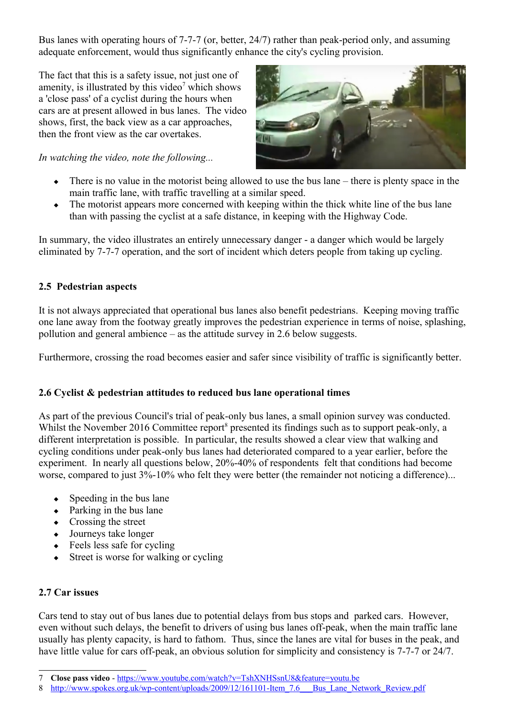Bus lanes with operating hours of 7-7-7 (or, better, 24/7) rather than peak-period only, and assuming adequate enforcement, would thus significantly enhance the city's cycling provision.

The fact that this is a safety issue, not just one of amenity, is illustrated by this video<sup>[7](#page-2-0)</sup> which shows a 'close pass' of a cyclist during the hours when cars are at present allowed in bus lanes. The video shows, first, the back view as a car approaches, then the front view as the car overtakes.

*In watching the video, note the following...*



- $\bullet$  There is no value in the motorist being allowed to use the bus lane there is plenty space in the main traffic lane, with traffic travelling at a similar speed.
- The motorist appears more concerned with keeping within the thick white line of the bus lane than with passing the cyclist at a safe distance, in keeping with the Highway Code.

In summary, the video illustrates an entirely unnecessary danger - a danger which would be largely eliminated by 7-7-7 operation, and the sort of incident which deters people from taking up cycling.

#### **2.5 Pedestrian aspects**

It is not always appreciated that operational bus lanes also benefit pedestrians. Keeping moving traffic one lane away from the footway greatly improves the pedestrian experience in terms of noise, splashing, pollution and general ambience – as the attitude survey in 2.6 below suggests.

Furthermore, crossing the road becomes easier and safer since visibility of traffic is significantly better.

### **2.6 Cyclist & pedestrian attitudes to reduced bus lane operational times**

As part of the previous Council's trial of peak-only bus lanes, a small opinion survey was conducted. Whilst the November 2016 Committee report<sup>[8](#page-2-1)</sup> presented its findings such as to support peak-only, a different interpretation is possible. In particular, the results showed a clear view that walking and cycling conditions under peak-only bus lanes had deteriorated compared to a year earlier, before the experiment. In nearly all questions below, 20%-40% of respondents felt that conditions had become worse, compared to just 3%-10% who felt they were better (the remainder not noticing a difference)...

- Speeding in the bus lane
- $\leftarrow$  Parking in the bus lane
- Crossing the street
- Journeys take longer
- $\leftarrow$  Feels less safe for cycling
- $\triangleleft$  Street is worse for walking or cycling

#### **2.7 Car issues**

Cars tend to stay out of bus lanes due to potential delays from bus stops and parked cars. However, even without such delays, the benefit to drivers of using bus lanes off-peak, when the main traffic lane usually has plenty capacity, is hard to fathom. Thus, since the lanes are vital for buses in the peak, and have little value for cars off-peak, an obvious solution for simplicity and consistency is 7-7-7 or 24/7.

<span id="page-2-0"></span><sup>7</sup> **Close pass video** -<https://www.youtube.com/watch?v=TshXNHSsnU8&feature=youtu.be>

<span id="page-2-1"></span><sup>8</sup> http://www.spokes.org.uk/wp-content/uploads/2009/12/161101-Item\_7.6 Bus Lane Network Review.pdf